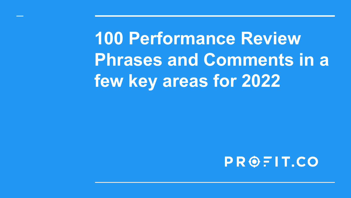**100 Performance Review Phrases and Comments in a few key areas for 2022**

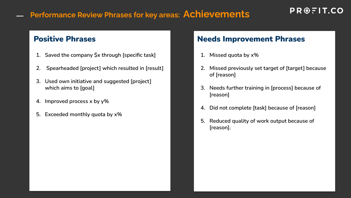### **Performance Review Phrases for key areas: Achievements**

### $PROBLEM$   $F$  | T.CO

 $\overline{\phantom{0}}$ 

- **1. Saved the company \$x through [specific task]**
- **2. Spearheaded [project] which resulted in [result]**
- **3. Used own initiative and suggested [project] which aims to [goal]**
- **4. Improved process x by y%**
- **5. Exceeded monthly quota by x%**

- **1. Missed quota by x%**
- **2. Missed previously set target of [target] because of [reason]**
- **3. Needs further training in [process] because of [reason]**
- **4. Did not complete [task] because of [reason]**
- **5. Reduced quality of work output because of [reason].**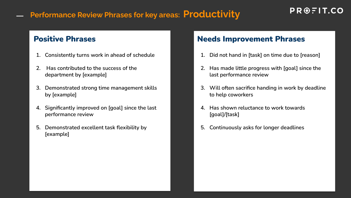### **Performance Review Phrases for key areas: Productivity**

- **1. Consistently turns work in ahead of schedule**
- **2. Has contributed to the success of the department by [example]**
- **3. Demonstrated strong time management skills by [example]**
- **4. Significantly improved on [goal] since the last performance review**
- **5. Demonstrated excellent task flexibility by [example]**

- **1. Did not hand in [task] on time due to [reason]**
- **2. Has made little progress with [goal] since the last performance review**
- **3. Will often sacrifice handing in work by deadline to help coworkers**
- **4. Has shown reluctance to work towards [goal]/[task]**
- **5. Continuously asks for longer deadlines**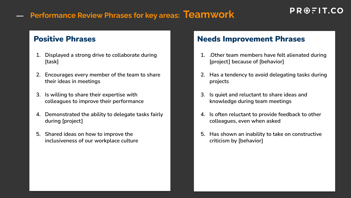### **Performance Review Phrases for key areas: Teamwork**

- **1. Displayed a strong drive to collaborate during [task]**
- **2. Encourages every member of the team to share their ideas in meetings**
- **3. Is willing to share their expertise with colleagues to improve their performance**
- **4. Demonstrated the ability to delegate tasks fairly during [project]**
- **5. Shared ideas on how to improve the inclusiveness of our workplace culture**

- **1. .Other team members have felt alienated during [project] because of [behavior]**
- **2. Has a tendency to avoid delegating tasks during projects**
- **3. Is quiet and reluctant to share ideas and knowledge during team meetings**
- **4. Is often reluctant to provide feedback to other colleagues, even when asked**
- **5. Has shown an inability to take on constructive criticism by [behavior]**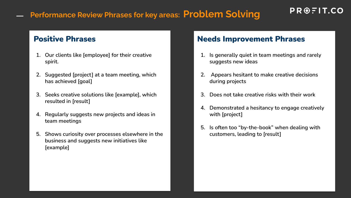### **Performance Review Phrases for key areas: Problem Solving**

### PROFIT.CO

- **1. Our clients like [employee] for their creative spirit.**
- **2. Suggested [project] at a team meeting, which has achieved [goal]**
- **3. Seeks creative solutions like [example], which resulted in [result]**
- **4. Regularly suggests new projects and ideas in team meetings**
- **5. Shows curiosity over processes elsewhere in the business and suggests new initiatives like [example]**

- **1. Is generally quiet in team meetings and rarely suggests new ideas**
- **2. Appears hesitant to make creative decisions during projects**
- **3. Does not take creative risks with their work**
- **4. Demonstrated a hesitancy to engage creatively with [project]**
- **5. Is often too "by-the-book" when dealing with customers, leading to [result]**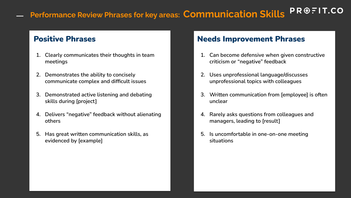### $PROBLEM$ **Performance Review Phrases for key areas: Communication Skills**

- **1. Clearly communicates their thoughts in team meetings**
- **2. Demonstrates the ability to concisely communicate complex and difficult issues**
- **3. Demonstrated active listening and debating skills during [project]**
- **4. Delivers "negative" feedback without alienating others**
- **5. Has great written communication skills, as evidenced by [example]**

- **1. Can become defensive when given constructive criticism or "negative" feedback**
- **2. Uses unprofessional language/discusses unprofessional topics with colleagues**
- **3. Written communication from [employee] is often unclear**
- **4. Rarely asks questions from colleagues and managers, leading to [result]**
- **5. Is uncomfortable in one-on-one meeting situations**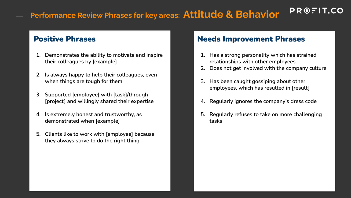## **Performance Review Phrases for key areas: Attitude & Behavior**

- **1. Demonstrates the ability to motivate and inspire their colleagues by [example]**
- **2. Is always happy to help their colleagues, even when things are tough for them**
- **3. Supported [employee] with [task]/through [project] and willingly shared their expertise**
- **4. Is extremely honest and trustworthy, as demonstrated when [example]**
- **5. Clients like to work with [employee] because they always strive to do the right thing**

### Positive Phrases Needs Improvement Phrases

- **1. Has a strong personality which has strained relationships with other employees.**
- **2. Does not get involved with the company culture**

PROFIT.CO

- **3. Has been caught gossiping about other employees, which has resulted in [result]**
- **4. Regularly ignores the company's dress code**
- **5. Regularly refuses to take on more challenging tasks**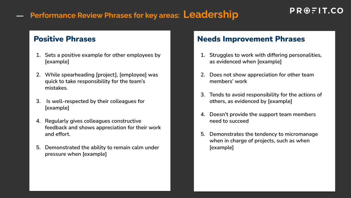### **Performance Review Phrases for key areas: Leadership**

 $\overline{\phantom{0}}$ 

- **1. Sets a positive example for other employees by [example]**
- **2. While spearheading [project], [employee] was quick to take responsibility for the team's mistakes.**
- **3. Is well-respected by their colleagues for [example]**
- **4. Regularly gives colleagues constructive feedback and shows appreciation for their work and effort.**
- **5. Demonstrated the ability to remain calm under pressure when [example]**

- **1. Struggles to work with differing personalities, as evidenced when [example]**
- **2. Does not show appreciation for other team members' work**
- **3. Tends to avoid responsibility for the actions of others, as evidenced by [example]**
- **4. Doesn't provide the support team members need to succeed**
- **5. Demonstrates the tendency to micromanage when in charge of projects, such as when [example]**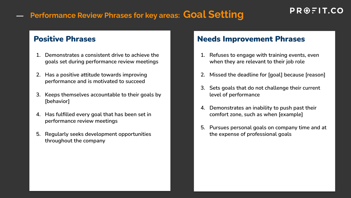## **Performance Review Phrases for key areas: Goal Setting**

- **1. Demonstrates a consistent drive to achieve the goals set during performance review meetings**
- **2. Has a positive attitude towards improving performance and is motivated to succeed**
- **3. Keeps themselves accountable to their goals by [behavior]**
- **4. Has fulfilled every goal that has been set in performance review meetings**
- **5. Regularly seeks development opportunities throughout the company**

- **1. Refuses to engage with training events, even when they are relevant to their job role**
- **2. Missed the deadline for [goal] because [reason]**
- **3. Sets goals that do not challenge their current level of performance**
- **4. Demonstrates an inability to push past their comfort zone, such as when [example]**
- **5. Pursues personal goals on company time and at the expense of professional goals**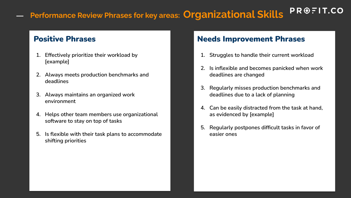### $PROBLEM$ **Performance Review Phrases for key areas: Organizational Skills**  $\overline{\phantom{0}}$

- **1. Effectively prioritize their workload by [example]**
- **2. Always meets production benchmarks and deadlines**
- **3. Always maintains an organized work environment**
- **4. Helps other team members use organizational software to stay on top of tasks**
- **5. Is flexible with their task plans to accommodate shifting priorities**

- **1. Struggles to handle their current workload**
- **2. Is inflexible and becomes panicked when work deadlines are changed**
- **3. Regularly misses production benchmarks and deadlines due to a lack of planning**
- **4. Can be easily distracted from the task at hand, as evidenced by [example]**
- **5. Regularly postpones difficult tasks in favor of easier ones**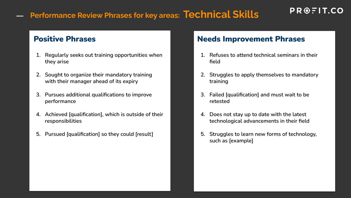### **Performance Review Phrases for key areas: Technical Skills**

 $\overline{\phantom{0}}$ 

- **1. Regularly seeks out training opportunities when they arise**
- **2. Sought to organize their mandatory training with their manager ahead of its expiry**
- **3. Pursues additional qualifications to improve performance**
- **4. Achieved [qualification], which is outside of their responsibilities**
- **5. Pursued [qualification] so they could [result]**

### Positive Phrases Needs Improvement Phrases

**1. Refuses to attend technical seminars in their field** 

 $PROBLEM$   $F$  | T.CO

- **2. Struggles to apply themselves to mandatory training**
- **3. Failed [qualification] and must wait to be retested**
- **4. Does not stay up to date with the latest technological advancements in their field**
- **5. Struggles to learn new forms of technology, such as [example]**